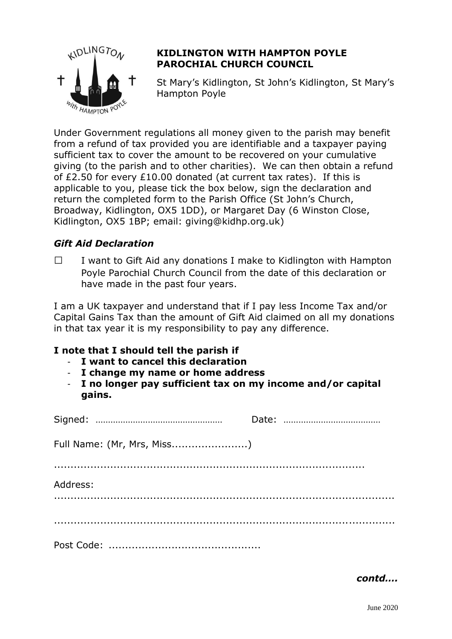

## **KIDLINGTON WITH HAMPTON POYLE PAROCHIAL CHURCH COUNCIL**

St Mary's Kidlington, St John's Kidlington, St Mary's Hampton Poyle

Under Government regulations all money given to the parish may benefit from a refund of tax provided you are identifiable and a taxpayer paying sufficient tax to cover the amount to be recovered on your cumulative giving (to the parish and to other charities). We can then obtain a refund of £2.50 for every £10.00 donated (at current tax rates). If this is applicable to you, please tick the box below, sign the declaration and return the completed form to the Parish Office (St John's Church, Broadway, Kidlington, OX5 1DD), or Margaret Day (6 Winston Close, Kidlington, OX5 1BP; email: giving@kidhp.org.uk)

## *Gift Aid Declaration*

 $\Box$  I want to Gift Aid any donations I make to Kidlington with Hampton Poyle Parochial Church Council from the date of this declaration or have made in the past four years.

I am a UK taxpayer and understand that if I pay less Income Tax and/or Capital Gains Tax than the amount of Gift Aid claimed on all my donations in that tax year it is my responsibility to pay any difference.

## **I note that I should tell the parish if**

- **I want to cancel this declaration**
- **I change my name or home address**
- **I no longer pay sufficient tax on my income and/or capital gains.**

| Full Name: (Mr, Mrs, Miss) |  |
|----------------------------|--|
|                            |  |
| Address:                   |  |
|                            |  |
|                            |  |
|                            |  |

*contd….*